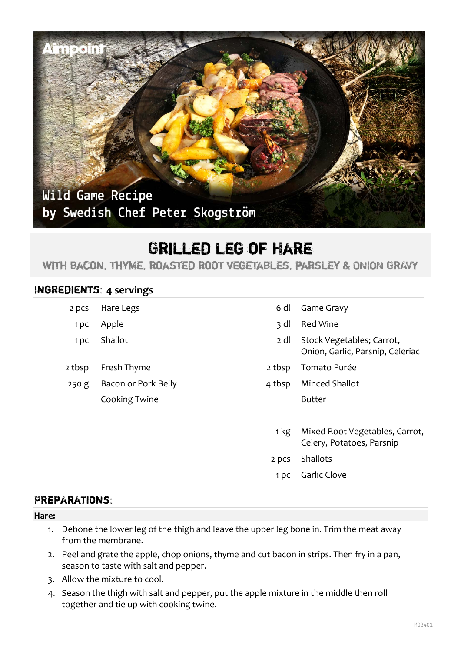

# Grilled Leg of Hare

with bacon, thyme, roasted root vegetables, parsley & ONION GRAVY

## Ingredients: **4 servings**

| 2 pcs           | Hare Legs           | 6 dl   | <b>Game Gravy</b>                                             |
|-----------------|---------------------|--------|---------------------------------------------------------------|
| 1 <sub>pc</sub> | Apple               | 3 dl   | <b>Red Wine</b>                                               |
| 1 <sub>pc</sub> | Shallot             | 2 dl   | Stock Vegetables; Carrot,<br>Onion, Garlic, Parsnip, Celeriac |
| 2 tbsp          | Fresh Thyme         | 2 tbsp | Tomato Purée                                                  |
| 250g            | Bacon or Pork Belly | 4 tbsp | <b>Minced Shallot</b>                                         |
|                 | Cooking Twine       |        | <b>Butter</b>                                                 |
|                 |                     |        |                                                               |
|                 |                     | 1 kg   | Mixed Root Vegetables, Carrot,<br>Celery, Potatoes, Parsnip   |
|                 |                     | 2 pcs  | Shallots                                                      |

### Preparations:

#### **Hare:**

1. Debone the lower leg of the thigh and leave the upper leg bone in. Trim the meat away from the membrane.

1 pc Garlic Clove

- 2. Peel and grate the apple, chop onions, thyme and cut bacon in strips. Then fry in a pan, season to taste with salt and pepper.
- 3. Allow the mixture to cool.
- 4. Season the thigh with salt and pepper, put the apple mixture in the middle then roll together and tie up with cooking twine.